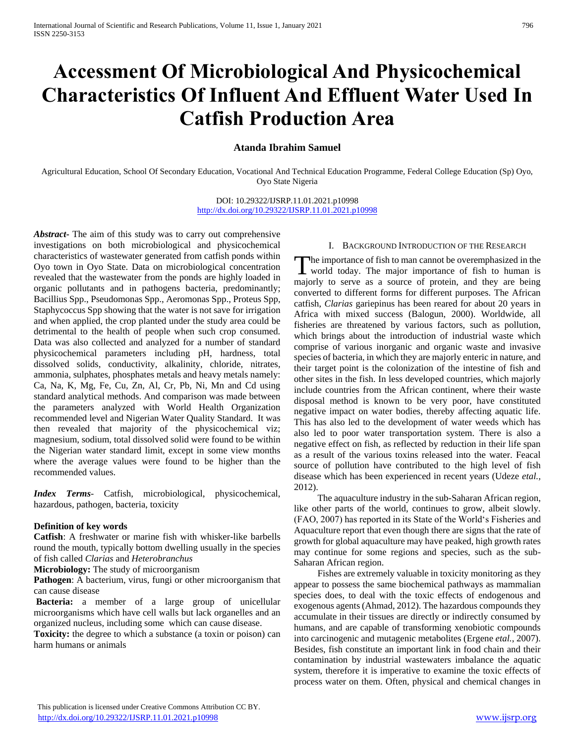# **Accessment Of Microbiological And Physicochemical Characteristics Of Influent And Effluent Water Used In Catfish Production Area**

# **Atanda Ibrahim Samuel**

Agricultural Education, School Of Secondary Education, Vocational And Technical Education Programme, Federal College Education (Sp) Oyo, Oyo State Nigeria

> DOI: 10.29322/IJSRP.11.01.2021.p10998 <http://dx.doi.org/10.29322/IJSRP.11.01.2021.p10998>

*Abstract***-** The aim of this study was to carry out comprehensive investigations on both microbiological and physicochemical characteristics of wastewater generated from catfish ponds within Oyo town in Oyo State. Data on microbiological concentration revealed that the wastewater from the ponds are highly loaded in organic pollutants and in pathogens bacteria, predominantly; Bacillius Spp., Pseudomonas Spp., Aeromonas Spp., Proteus Spp, Staphycoccus Spp showing that the water is not save for irrigation and when applied, the crop planted under the study area could be detrimental to the health of people when such crop consumed. Data was also collected and analyzed for a number of standard physicochemical parameters including pH, hardness, total dissolved solids, conductivity, alkalinity, chloride, nitrates, ammonia, sulphates, phosphates metals and heavy metals namely: Ca, Na, K, Mg, Fe, Cu, Zn, Al, Cr, Pb, Ni, Mn and Cd using standard analytical methods. And comparison was made between the parameters analyzed with World Health Organization recommended level and Nigerian Water Quality Standard. It was then revealed that majority of the physicochemical viz; magnesium, sodium, total dissolved solid were found to be within the Nigerian water standard limit, except in some view months where the average values were found to be higher than the recommended values.

*Index Terms*- Catfish, microbiological, physicochemical, hazardous, pathogen, bacteria, toxicity

## **Definition of key words**

**Catfish**: A freshwater or marine fish with whisker-like barbells round the mouth, typically bottom dwelling usually in the species of fish called *Clarias* and *Heterobranchus*

**Microbiology:** The study of microorganism

**Pathogen**: A bacterium, virus, fungi or other microorganism that can cause disease

**Bacteria:** a member of a large group of unicellular microorganisms which have cell walls but lack organelles and an organized nucleus, including some which can cause disease.

**Toxicity:** the degree to which a substance (a toxin or poison) can harm humans or animals

#### I. BACKGROUND INTRODUCTION OF THE RESEARCH

The importance of fish to man cannot be overemphasized in the The importance of fish to man cannot be overemphasized in the world today. The major importance of fish to human is majorly to serve as a source of protein, and they are being converted to different forms for different purposes. The African catfish, *Clarias* gariepinus has been reared for about 20 years in Africa with mixed success (Balogun, 2000). Worldwide, all fisheries are threatened by various factors, such as pollution, which brings about the introduction of industrial waste which comprise of various inorganic and organic waste and invasive species of bacteria, in which they are majorly enteric in nature, and their target point is the colonization of the intestine of fish and other sites in the fish. In less developed countries, which majorly include countries from the African continent, where their waste disposal method is known to be very poor, have constituted negative impact on water bodies, thereby affecting aquatic life. This has also led to the development of water weeds which has also led to poor water transportation system. There is also a negative effect on fish, as reflected by reduction in their life span as a result of the various toxins released into the water. Feacal source of pollution have contributed to the high level of fish disease which has been experienced in recent years (Udeze *etal.,* 2012).

 The aquaculture industry in the sub-Saharan African region, like other parts of the world, continues to grow, albeit slowly. (FAO, 2007) has reported in its State of the World's Fisheries and Aquaculture report that even though there are signs that the rate of growth for global aquaculture may have peaked, high growth rates may continue for some regions and species, such as the sub-Saharan African region.

 Fishes are extremely valuable in toxicity monitoring as they appear to possess the same biochemical pathways as mammalian species does, to deal with the toxic effects of endogenous and exogenous agents (Ahmad, 2012). The hazardous compounds they accumulate in their tissues are directly or indirectly consumed by humans, and are capable of transforming xenobiotic compounds into carcinogenic and mutagenic metabolites (Ergene *etal.*, 2007). Besides, fish constitute an important link in food chain and their contamination by industrial wastewaters imbalance the aquatic system, therefore it is imperative to examine the toxic effects of process water on them. Often, physical and chemical changes in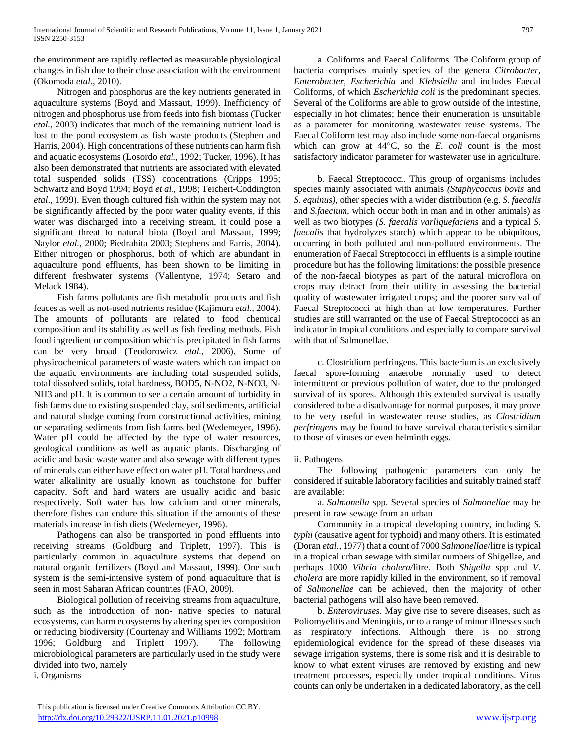the environment are rapidly reflected as measurable physiological changes in fish due to their close association with the environment (Okomoda *etal.*, 2010).

 Nitrogen and phosphorus are the key nutrients generated in aquaculture systems (Boyd and Massaut, 1999). Inefficiency of nitrogen and phosphorus use from feeds into fish biomass (Tucker *etal.,* 2003) indicates that much of the remaining nutrient load is lost to the pond ecosystem as fish waste products (Stephen and Harris, 2004). High concentrations of these nutrients can harm fish and aquatic ecosystems (Losordo *etal.,* 1992; Tucker, 1996). It has also been demonstrated that nutrients are associated with elevated total suspended solids (TSS) concentrations (Cripps 1995; Schwartz and Boyd 1994; Boyd *et al.,* 1998; Teichert-Coddington *etal*., 1999). Even though cultured fish within the system may not be significantly affected by the poor water quality events, if this water was discharged into a receiving stream, it could pose a significant threat to natural biota (Boyd and Massaut, 1999; Naylor *etal.,* 2000; Piedrahita 2003; Stephens and Farris, 2004). Either nitrogen or phosphorus, both of which are abundant in aquaculture pond effluents, has been shown to be limiting in different freshwater systems (Vallentyne, 1974; Setaro and Melack 1984).

 Fish farms pollutants are fish metabolic products and fish feaces as well as not-used nutrients residue (Kajimura *etal.,* 2004). The amounts of pollutants are related to food chemical composition and its stability as well as fish feeding methods. Fish food ingredient or composition which is precipitated in fish farms can be very broad (Teodorowicz *etal.,* 2006). Some of physicochemical parameters of waste waters which can impact on the aquatic environments are including total suspended solids, total dissolved solids, total hardness, BOD5, N-NO2, N-NO3, N-NH3 and pH. It is common to see a certain amount of turbidity in fish farms due to existing suspended clay, soil sediments, artificial and natural sludge coming from constructional activities, mining or separating sediments from fish farms bed (Wedemeyer, 1996). Water pH could be affected by the type of water resources, geological conditions as well as aquatic plants. Discharging of acidic and basic waste water and also sewage with different types of minerals can either have effect on water pH. Total hardness and water alkalinity are usually known as touchstone for buffer capacity. Soft and hard waters are usually acidic and basic respectively. Soft water has low calcium and other minerals, therefore fishes can endure this situation if the amounts of these materials increase in fish diets (Wedemeyer, 1996).

 Pathogens can also be transported in pond effluents into receiving streams (Goldburg and Triplett, 1997). This is particularly common in aquaculture systems that depend on natural organic fertilizers (Boyd and Massaut, 1999). One such system is the semi-intensive system of pond aquaculture that is seen in most Saharan African countries (FAO, 2009).

 Biological pollution of receiving streams from aquaculture, such as the introduction of non- native species to natural ecosystems, can harm ecosystems by altering species composition or reducing biodiversity (Courtenay and Williams 1992; Mottram 1996; Goldburg and Triplett 1997). The following microbiological parameters are particularly used in the study were divided into two, namely

i. Organisms

 a. Coliforms and Faecal Coliforms. The Coliform group of bacteria comprises mainly species of the genera *Citrobacter, Enterobacter, Escherichia* and *Klebsiella* and includes Faecal Coliforms, of which *Escherichia coli* is the predominant species. Several of the Coliforms are able to grow outside of the intestine, especially in hot climates; hence their enumeration is unsuitable as a parameter for monitoring wastewater reuse systems. The Faecal Coliform test may also include some non-faecal organisms which can grow at  $44^{\circ}$ C, so the *E. coli* count is the most satisfactory indicator parameter for wastewater use in agriculture.

 b. Faecal Streptococci. This group of organisms includes species mainly associated with animals *(Staphycoccus bovis* and *S. equinus),* other species with a wider distribution (e.g. *S. faecalis*  and *S.faecium,* which occur both in man and in other animals) as well as two biotypes *(S. faecalis varliquefaciens* and a typical *S. faecalis* that hydrolyzes starch) which appear to be ubiquitous, occurring in both polluted and non-polluted environments. The enumeration of Faecal Streptococci in effluents is a simple routine procedure but has the following limitations: the possible presence of the non-faecal biotypes as part of the natural microflora on crops may detract from their utility in assessing the bacterial quality of wastewater irrigated crops; and the poorer survival of Faecal Streptococci at high than at low temperatures. Further studies are still warranted on the use of Faecal Streptococci as an indicator in tropical conditions and especially to compare survival with that of Salmonellae.

 c. Clostridium perfringens. This bacterium is an exclusively faecal spore-forming anaerobe normally used to detect intermittent or previous pollution of water, due to the prolonged survival of its spores. Although this extended survival is usually considered to be a disadvantage for normal purposes, it may prove to be very useful in wastewater reuse studies, as *Clostridium perfringens* may be found to have survival characteristics similar to those of viruses or even helminth eggs.

## ii. Pathogens

 The following pathogenic parameters can only be considered if suitable laboratory facilities and suitably trained staff are available:

 a. *Salmonella* spp. Several species of *Salmonellae* may be present in raw sewage from an urban

 Community in a tropical developing country, including *S. typhi* (causative agent for typhoid) and many others. It is estimated (Doran *etal.,* 1977) that a count of 7000 *Salmonellae*/litre is typical in a tropical urban sewage with similar numbers of Shigellae, and perhaps 1000 *Vibrio cholera/*litre*.* Both *Shigella* spp and *V. cholera* are more rapidly killed in the environment, so if removal of *Salmonellae* can be achieved, then the majority of other bacterial pathogens will also have been removed.

 b. *Enteroviruses.* May give rise to severe diseases, such as Poliomyelitis and Meningitis, or to a range of minor illnesses such as respiratory infections. Although there is no strong epidemiological evidence for the spread of these diseases via sewage irrigation systems, there is some risk and it is desirable to know to what extent viruses are removed by existing and new treatment processes, especially under tropical conditions. Virus counts can only be undertaken in a dedicated laboratory, as the cell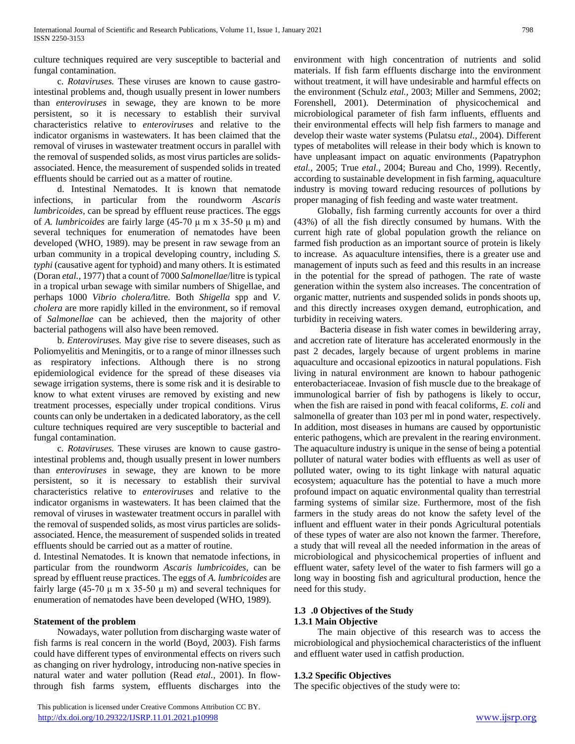culture techniques required are very susceptible to bacterial and fungal contamination.

 c. *Rotaviruses.* These viruses are known to cause gastrointestinal problems and, though usually present in lower numbers than *enteroviruses* in sewage, they are known to be more persistent, so it is necessary to establish their survival characteristics relative to *enteroviruses* and relative to the indicator organisms in wastewaters. It has been claimed that the removal of viruses in wastewater treatment occurs in parallel with the removal of suspended solids, as most virus particles are solidsassociated. Hence, the measurement of suspended solids in treated effluents should be carried out as a matter of routine.

 d. Intestinal Nematodes. It is known that nematode infections, in particular from the roundworm *Ascaris lumbricoides,* can be spread by effluent reuse practices. The eggs of *A. lumbricoides* are fairly large (45-70 μ m x 35-50 μ m) and several techniques for enumeration of nematodes have been developed (WHO, 1989). may be present in raw sewage from an urban community in a tropical developing country, including *S. typhi* (causative agent for typhoid) and many others. It is estimated (Doran *etal.,* 1977) that a count of 7000 *Salmonellae*/litre is typical in a tropical urban sewage with similar numbers of Shigellae, and perhaps 1000 *Vibrio cholera/*litre*.* Both *Shigella* spp and *V. cholera* are more rapidly killed in the environment, so if removal of *Salmonellae* can be achieved, then the majority of other bacterial pathogens will also have been removed.

 b. *Enteroviruses.* May give rise to severe diseases, such as Poliomyelitis and Meningitis, or to a range of minor illnesses such as respiratory infections. Although there is no strong epidemiological evidence for the spread of these diseases via sewage irrigation systems, there is some risk and it is desirable to know to what extent viruses are removed by existing and new treatment processes, especially under tropical conditions. Virus counts can only be undertaken in a dedicated laboratory, as the cell culture techniques required are very susceptible to bacterial and fungal contamination.

 c. *Rotaviruses.* These viruses are known to cause gastrointestinal problems and, though usually present in lower numbers than *enteroviruses* in sewage, they are known to be more persistent, so it is necessary to establish their survival characteristics relative to *enteroviruses* and relative to the indicator organisms in wastewaters. It has been claimed that the removal of viruses in wastewater treatment occurs in parallel with the removal of suspended solids, as most virus particles are solidsassociated. Hence, the measurement of suspended solids in treated effluents should be carried out as a matter of routine.

d. Intestinal Nematodes. It is known that nematode infections, in particular from the roundworm *Ascaris lumbricoides,* can be spread by effluent reuse practices. The eggs of *A. lumbricoides* are fairly large (45-70  $\mu$  m x 35-50  $\mu$  m) and several techniques for enumeration of nematodes have been developed (WHO, 1989).

## **Statement of the problem**

 Nowadays, water pollution from discharging waste water of fish farms is real concern in the world (Boyd, 2003). Fish farms could have different types of environmental effects on rivers such as changing on river hydrology, introducing non-native species in natural water and water pollution (Read *etal.,* 2001). In flowthrough fish farms system, effluents discharges into the

 This publication is licensed under Creative Commons Attribution CC BY. <http://dx.doi.org/10.29322/IJSRP.11.01.2021.p10998> [www.ijsrp.org](http://ijsrp.org/)

environment with high concentration of nutrients and solid materials. If fish farm effluents discharge into the environment without treatment, it will have undesirable and harmful effects on the environment (Schulz *etal.,* 2003; Miller and Semmens, 2002; Forenshell, 2001). Determination of physicochemical and microbiological parameter of fish farm influents, effluents and their environmental effects will help fish farmers to manage and develop their waste water systems (Pulatsu *etal.,* 2004). Different types of metabolites will release in their body which is known to have unpleasant impact on aquatic environments (Papatryphon *etal.,* 2005; True *etal.,* 2004; Bureau and Cho, 1999). Recently, according to sustainable development in fish farming, aquaculture industry is moving toward reducing resources of pollutions by proper managing of fish feeding and waste water treatment.

 Globally, fish farming currently accounts for over a third (43%) of all the fish directly consumed by humans. With the current high rate of global population growth the reliance on farmed fish production as an important source of protein is likely to increase. As aquaculture intensifies, there is a greater use and management of inputs such as feed and this results in an increase in the potential for the spread of pathogen. The rate of waste generation within the system also increases. The concentration of organic matter, nutrients and suspended solids in ponds shoots up, and this directly increases oxygen demand, eutrophication, and turbidity in receiving waters.

 Bacteria disease in fish water comes in bewildering array, and accretion rate of literature has accelerated enormously in the past 2 decades, largely because of urgent problems in marine aquaculture and occasional epizootics in natural populations. Fish living in natural environment are known to habour pathogenic enterobacteriaceae. Invasion of fish muscle due to the breakage of immunological barrier of fish by pathogens is likely to occur, when the fish are raised in pond with feacal coliforms, *E. coli* and salmonella of greater than 103 per ml in pond water, respectively. In addition, most diseases in humans are caused by opportunistic enteric pathogens, which are prevalent in the rearing environment. The aquaculture industry is unique in the sense of being a potential polluter of natural water bodies with effluents as well as user of polluted water, owing to its tight linkage with natural aquatic ecosystem; aquaculture has the potential to have a much more profound impact on aquatic environmental quality than terrestrial farming systems of similar size. Furthermore, most of the fish farmers in the study areas do not know the safety level of the influent and effluent water in their ponds Agricultural potentials of these types of water are also not known the farmer. Therefore, a study that will reveal all the needed information in the areas of microbiological and physicochemical properties of influent and effluent water, safety level of the water to fish farmers will go a long way in boosting fish and agricultural production, hence the need for this study.

## **1.3 .0 Objectives of the Study 1.3.1 Main Objective**

 The main objective of this research was to access the microbiological and physiochemical characteristics of the influent and effluent water used in catfish production.

## **1.3.2 Specific Objectives**

The specific objectives of the study were to: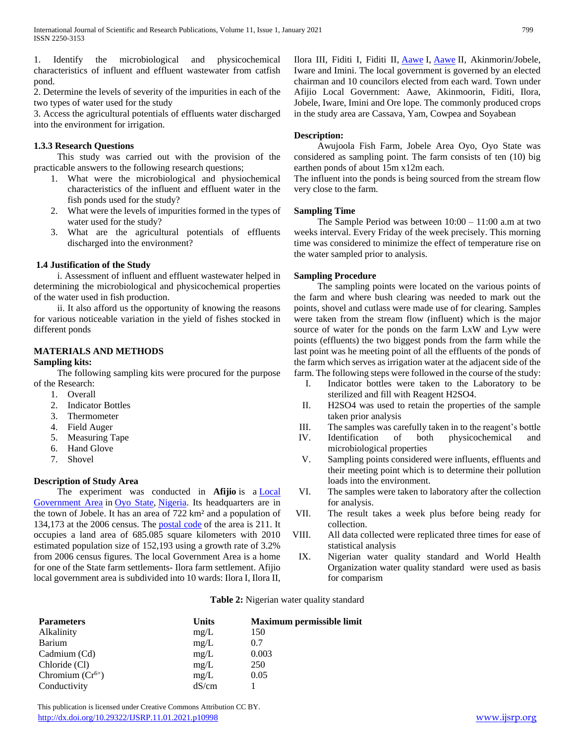1. Identify the microbiological and physicochemical characteristics of influent and effluent wastewater from catfish pond.

2. Determine the levels of severity of the impurities in each of the two types of water used for the study

3. Access the agricultural potentials of effluents water discharged into the environment for irrigation.

## **1.3.3 Research Questions**

 This study was carried out with the provision of the practicable answers to the following research questions;

- 1. What were the microbiological and physiochemical characteristics of the influent and effluent water in the fish ponds used for the study?
- 2. What were the levels of impurities formed in the types of water used for the study?
- 3. What are the agricultural potentials of effluents discharged into the environment?

## **1.4 Justification of the Study**

 i. Assessment of influent and effluent wastewater helped in determining the microbiological and physicochemical properties of the water used in fish production.

 ii. It also afford us the opportunity of knowing the reasons for various noticeable variation in the yield of fishes stocked in different ponds

# **MATERIALS AND METHODS**

#### **Sampling kits:**

 The following sampling kits were procured for the purpose of the Research:

- 1. Overall
- 2. Indicator Bottles
- 3. Thermometer
- 4. Field Auger
- 5. Measuring Tape
- 6. Hand Glove
- 7. Shovel

# **Description of Study Area**

 The experiment was conducted in **Afijio** is a [Local](https://en.wikipedia.org/wiki/Local_Government_Areas_of_Nigeria)  [Government Area](https://en.wikipedia.org/wiki/Local_Government_Areas_of_Nigeria) in [Oyo State,](https://en.wikipedia.org/wiki/Oyo_State) [Nigeria.](https://en.wikipedia.org/wiki/Nigeria) Its headquarters are in the town of Jobele. It has an area of 722 km² and a population of 134,173 at the 2006 census. The [postal code](https://en.wikipedia.org/wiki/Postal_code) of the area is 211. It occupies a land area of 685.085 square kilometers with 2010 estimated population size of 152,193 using a growth rate of 3.2% from 2006 census figures. The local Government Area is a home for one of the State farm settlements- Ilora farm settlement. Afijio local government area is subdivided into 10 wards: Ilora I, Ilora II, Ilora III, Fiditi I, Fiditi II, [Aawe](https://en.wikipedia.org/wiki/Awe,_Oyo_State) I, [Aawe](https://en.wikipedia.org/wiki/Awe,_Oyo_State) II, Akinmorin/Jobele, Iware and Imini. The local government is governed by an elected chairman and 10 councilors elected from each ward. Town under Afijio Local Government: Aawe, Akinmoorin, Fiditi, Ilora, Jobele, Iware, Imini and Ore lope. The commonly produced crops in the study area are Cassava, Yam, Cowpea and Soyabean

## **Description:**

 Awujoola Fish Farm, Jobele Area Oyo, Oyo State was considered as sampling point. The farm consists of ten (10) big earthen ponds of about 15m x12m each.

The influent into the ponds is being sourced from the stream flow very close to the farm.

## **Sampling Time**

The Sample Period was between  $10:00 - 11:00$  a.m at two weeks interval. Every Friday of the week precisely. This morning time was considered to minimize the effect of temperature rise on the water sampled prior to analysis.

## **Sampling Procedure**

 The sampling points were located on the various points of the farm and where bush clearing was needed to mark out the points, shovel and cutlass were made use of for clearing. Samples were taken from the stream flow (influent) which is the major source of water for the ponds on the farm LxW and Lyw were points (effluents) the two biggest ponds from the farm while the last point was he meeting point of all the effluents of the ponds of the farm which serves as irrigation water at the adjacent side of the farm. The following steps were followed in the course of the study:

- I. Indicator bottles were taken to the Laboratory to be sterilized and fill with Reagent H2SO4.
- II. H2SO4 was used to retain the properties of the sample taken prior analysis
- III. The samples was carefully taken in to the reagent's bottle
- IV. Identification of both physicochemical and microbiological properties
- V. Sampling points considered were influents, effluents and their meeting point which is to determine their pollution loads into the environment.
- VI. The samples were taken to laboratory after the collection for analysis.
- VII. The result takes a week plus before being ready for collection.
- VIII. All data collected were replicated three times for ease of statistical analysis
- IX. Nigerian water quality standard and World Health Organization water quality standard were used as basis for comparism

#### **Table 2:** Nigerian water quality standard

| <b>Parameters</b>    | <b>Units</b> | <b>Maximum permissible limit</b> |
|----------------------|--------------|----------------------------------|
| Alkalinity           | mg/L         | 150                              |
| Barium               | mg/L         | 0.7                              |
| Cadmium (Cd)         | mg/L         | 0.003                            |
| Chloride (Cl)        | mg/L         | 250                              |
| Chromium $(Cr^{6+})$ | mg/L         | 0.05                             |
| Conductivity         | dS/cm        |                                  |

 This publication is licensed under Creative Commons Attribution CC BY. <http://dx.doi.org/10.29322/IJSRP.11.01.2021.p10998> [www.ijsrp.org](http://ijsrp.org/)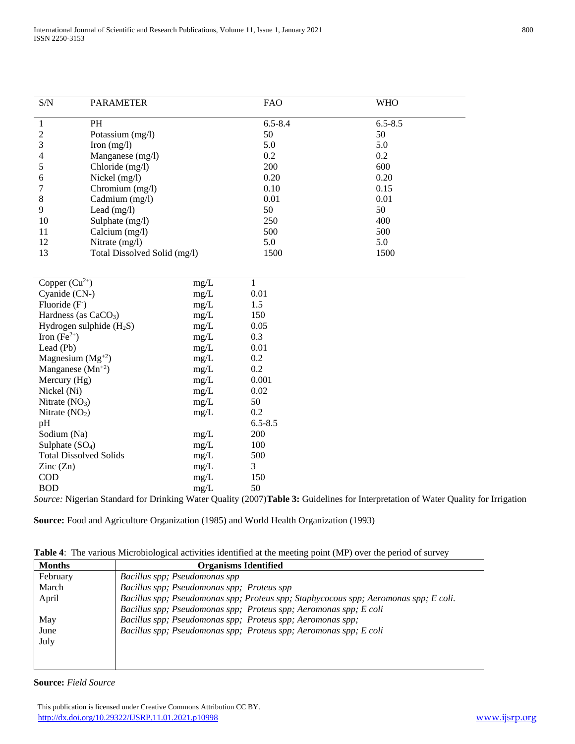| S/N                | <b>PARAMETER</b>             |      | <b>FAO</b>  | <b>WHO</b>  |  |  |  |  |  |  |  |
|--------------------|------------------------------|------|-------------|-------------|--|--|--|--|--|--|--|
| 1                  | PH                           |      | $6.5 - 8.4$ | $6.5 - 8.5$ |  |  |  |  |  |  |  |
| 2                  | Potassium (mg/l)             |      | 50          | 50          |  |  |  |  |  |  |  |
| 3                  | Iron $(mg/l)$                |      | 5.0         | 5.0         |  |  |  |  |  |  |  |
| 4                  | Manganese (mg/l)             |      | 0.2         | 0.2         |  |  |  |  |  |  |  |
| 5                  | Chloride (mg/l)              |      | 200         | 600         |  |  |  |  |  |  |  |
| 6                  | Nickel $(mg/l)$              |      | 0.20        | 0.20        |  |  |  |  |  |  |  |
|                    | Chromium (mg/l)              |      | 0.10        | 0.15        |  |  |  |  |  |  |  |
| 8                  | Cadmium (mg/l)               |      | 0.01        | 0.01        |  |  |  |  |  |  |  |
| 9                  | Lead $(mg/l)$                |      | 50          | 50          |  |  |  |  |  |  |  |
| 10                 | Sulphate (mg/l)              |      | 250         | 400         |  |  |  |  |  |  |  |
| 11                 | Calcium (mg/l)               |      | 500         | 500         |  |  |  |  |  |  |  |
| 12                 | Nitrate $(mg/l)$             |      | 5.0         | 5.0         |  |  |  |  |  |  |  |
| 13                 | Total Dissolved Solid (mg/l) |      | 1500        | 1500        |  |  |  |  |  |  |  |
|                    |                              |      |             |             |  |  |  |  |  |  |  |
| Copper $(Cu^{2+})$ |                              | mg/L |             |             |  |  |  |  |  |  |  |
| Cyanide (CN-)      |                              | mg/L | 0.01        |             |  |  |  |  |  |  |  |
| Fluoride $(F)$     |                              | mg/L | 1.5         |             |  |  |  |  |  |  |  |
|                    | Hardness (as $CaCO3$ )       | mg/L | 150         |             |  |  |  |  |  |  |  |
|                    |                              |      |             |             |  |  |  |  |  |  |  |

| Copper $(Cu^{-1})$            | $\text{mg/L}$ |             |
|-------------------------------|---------------|-------------|
| Cyanide (CN-)                 | $mg/L$        | 0.01        |
| Fluoride $(F)$                | $mg/L$        | 1.5         |
| Hardness (as $CaCO3$ )        | $mg/L$        | 150         |
| Hydrogen sulphide $(H_2S)$    | mg/L          | 0.05        |
| Iron $(Fe^{2+})$              | $mg/L$        | 0.3         |
| Lead (Pb)                     | mg/L          | 0.01        |
| Magnesium $(Mg^{+2})$         | mg/L          | 0.2         |
| Manganese $(Mn^{+2})$         | $mg/L$        | 0.2         |
| Mercury (Hg)                  | mg/L          | 0.001       |
| Nickel (Ni)                   | mg/L          | 0.02        |
| Nitrate $(NO3)$               | mg/L          | 50          |
| Nitrate $(NO2)$               | mg/L          | 0.2         |
| pH                            |               | $6.5 - 8.5$ |
| Sodium (Na)                   | mg/L          | 200         |
| Sulphate $(SO4)$              | mg/L          | 100         |
| <b>Total Dissolved Solids</b> | mg/L          | 500         |
| $\text{Zinc}(\text{Zn})$      | mg/L          | 3           |
| <b>COD</b>                    | $mg/L$        | 150         |
| BOD                           | mg/L          | 50          |
|                               |               |             |

*Source:* Nigerian Standard for Drinking Water Quality (2007)**Table 3:** Guidelines for Interpretation of Water Quality for Irrigation

**Source:** Food and Agriculture Organization (1985) and World Health Organization (1993)

**Table 4**: The various Microbiological activities identified at the meeting point (MP) over the period of survey

| <b>Months</b> | <b>Organisms Identified</b>                                                          |
|---------------|--------------------------------------------------------------------------------------|
| February      | Bacillus spp; Pseudomonas spp                                                        |
| March         | Bacillus spp; Pseudomonas spp; Proteus spp                                           |
| April         | Bacillus spp; Pseudomonas spp; Proteus spp; Staphycocous spp; Aeromonas spp; E coli. |
|               | Bacillus spp; Pseudomonas spp; Proteus spp; Aeromonas spp; E coli                    |
| May           | Bacillus spp; Pseudomonas spp; Proteus spp; Aeromonas spp;                           |
| June          | Bacillus spp; Pseudomonas spp; Proteus spp; Aeromonas spp; E coli                    |
| July          |                                                                                      |
|               |                                                                                      |
|               |                                                                                      |

**Source:** *Field Source*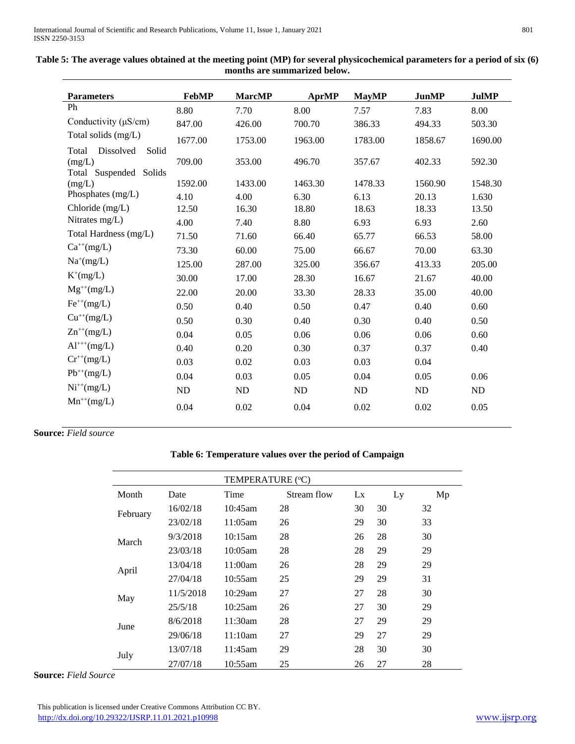| <b>Parameters</b>                                                  | <b>FebMP</b> | <b>MarcMP</b> | <b>AprMP</b> | <b>MayMP</b> | <b>JunMP</b> | <b>JulMP</b> |
|--------------------------------------------------------------------|--------------|---------------|--------------|--------------|--------------|--------------|
| Ph                                                                 | 8.80         | 7.70          | 8.00         | 7.57         | 7.83         | 8.00         |
| Conductivity $(\mu S/cm)$                                          | 847.00       | 426.00        | 700.70       | 386.33       | 494.33       | 503.30       |
| Total solids (mg/L)                                                | 1677.00      | 1753.00       | 1963.00      | 1783.00      | 1858.67      | 1690.00      |
| Dissolved<br>Solid<br>Total<br>(mg/L)<br>Solids<br>Total Suspended | 709.00       | 353.00        | 496.70       | 357.67       | 402.33       | 592.30       |
| (mg/L)                                                             | 1592.00      | 1433.00       | 1463.30      | 1478.33      | 1560.90      | 1548.30      |
| Phosphates (mg/L)                                                  | 4.10         | 4.00          | 6.30         | 6.13         | 20.13        | 1.630        |
| Chloride $(mg/L)$                                                  | 12.50        | 16.30         | 18.80        | 18.63        | 18.33        | 13.50        |
| Nitrates mg/L)                                                     | 4.00         | 7.40          | 8.80         | 6.93         | 6.93         | 2.60         |
| Total Hardness (mg/L)                                              | 71.50        | 71.60         | 66.40        | 65.77        | 66.53        | 58.00        |
| $Ca^{++}(mg/L)$                                                    | 73.30        | 60.00         | 75.00        | 66.67        | 70.00        | 63.30        |
| $Na^{+}(mg/L)$                                                     | 125.00       | 287.00        | 325.00       | 356.67       | 413.33       | 205.00       |
| $K^+(mg/L)$                                                        | 30.00        | 17.00         | 28.30        | 16.67        | 21.67        | 40.00        |
| $Mg^{++}(mg/L)$                                                    | 22.00        | 20.00         | 33.30        | 28.33        | 35.00        | 40.00        |
| $Fe^{++}(mg/L)$                                                    | 0.50         | 0.40          | 0.50         | 0.47         | 0.40         | 0.60         |
| $Cu^{++}(mg/L)$                                                    | 0.50         | 0.30          | 0.40         | 0.30         | 0.40         | 0.50         |
| $Zn^{++}(mg/L)$                                                    | 0.04         | 0.05          | 0.06         | 0.06         | 0.06         | 0.60         |
| $Al^{+++}(mg/L)$                                                   | 0.40         | 0.20          | 0.30         | 0.37         | 0.37         | 0.40         |
| $Cr^{++}(mg/L)$                                                    | 0.03         | 0.02          | 0.03         | 0.03         | 0.04         |              |
| $Pb^{++}(mg/L)$                                                    | 0.04         | 0.03          | 0.05         | 0.04         | 0.05         | 0.06         |
| $Ni^{++}(mg/L)$                                                    | <b>ND</b>    | <b>ND</b>     | <b>ND</b>    | <b>ND</b>    | <b>ND</b>    | <b>ND</b>    |
| $Mn^{++}(mg/L)$                                                    |              |               |              |              |              |              |
|                                                                    | 0.04         | 0.02          | 0.04         | 0.02         | 0.02         | 0.05         |

| Table 5: The average values obtained at the meeting point (MP) for several physicochemical parameters for a period of six (6) |
|-------------------------------------------------------------------------------------------------------------------------------|
| months are summarized below.                                                                                                  |

# **Source:** *Field source*

# **Table 6: Temperature values over the period of Campaign**

| TEMPERATURE (°C) |           |            |             |    |    |    |  |  |  |  |
|------------------|-----------|------------|-------------|----|----|----|--|--|--|--|
| Month            | Date      | Time       | Stream flow | Lx | Ly | Mp |  |  |  |  |
| February         | 16/02/18  | $10:45$ am | 28          | 30 | 30 | 32 |  |  |  |  |
|                  | 23/02/18  | 11:05am    | 26          | 29 | 30 | 33 |  |  |  |  |
| March            | 9/3/2018  | 10:15am    | 28          | 26 | 28 | 30 |  |  |  |  |
|                  | 23/03/18  | $10:05$ am | 28          | 28 | 29 | 29 |  |  |  |  |
| April            | 13/04/18  | 11:00am    | 26          | 28 | 29 | 29 |  |  |  |  |
|                  | 27/04/18  | 10:55am    | 25          | 29 | 29 | 31 |  |  |  |  |
| May              | 11/5/2018 | $10:29$ am | 27          | 27 | 28 | 30 |  |  |  |  |
|                  | 25/5/18   | $10:25$ am | 26          | 27 | 30 | 29 |  |  |  |  |
| June             | 8/6/2018  | 11:30am    | 28          | 27 | 29 | 29 |  |  |  |  |
|                  | 29/06/18  | 11:10am    | 27          | 29 | 27 | 29 |  |  |  |  |
|                  | 13/07/18  | 11:45am    | 29          | 28 | 30 | 30 |  |  |  |  |
| July             | 27/07/18  | 10:55am    | 25          | 26 | 27 | 28 |  |  |  |  |

**Source:** *Field Source*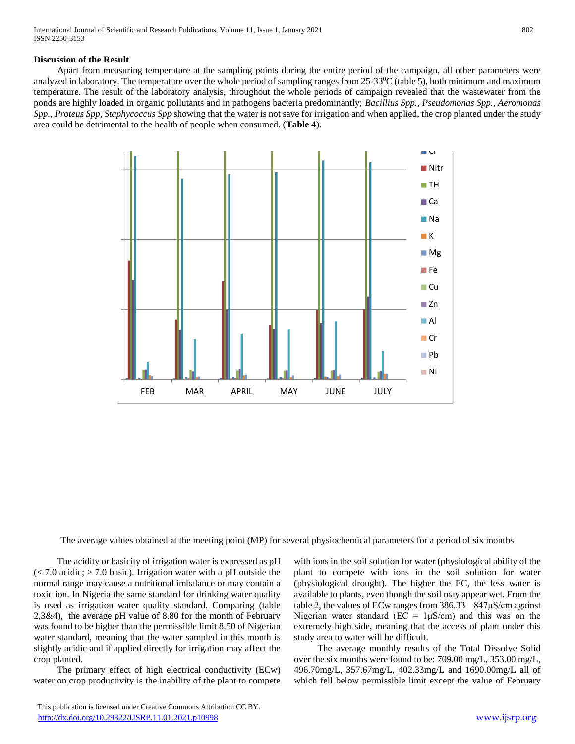## **Discussion of the Result**

 Apart from measuring temperature at the sampling points during the entire period of the campaign, all other parameters were analyzed in laboratory. The temperature over the whole period of sampling ranges from  $25{\text -}33\degree$ C (table 5), both minimum and maximum temperature. The result of the laboratory analysis, throughout the whole periods of campaign revealed that the wastewater from the ponds are highly loaded in organic pollutants and in pathogens bacteria predominantly; *Bacillius Spp., Pseudomonas Spp., Aeromonas Spp., Proteus Spp, Staphycoccus Spp* showing that the water is not save for irrigation and when applied, the crop planted under the study area could be detrimental to the health of people when consumed. (**Table 4**).



The average values obtained at the meeting point (MP) for several physiochemical parameters for a period of six months

 The acidity or basicity of irrigation water is expressed as pH  $\approx$  7.0 acidic;  $>$  7.0 basic). Irrigation water with a pH outside the normal range may cause a nutritional imbalance or may contain a toxic ion. In Nigeria the same standard for drinking water quality is used as irrigation water quality standard. Comparing (table 2,3&4), the average pH value of 8.80 for the month of February was found to be higher than the permissible limit 8.50 of Nigerian water standard, meaning that the water sampled in this month is slightly acidic and if applied directly for irrigation may affect the crop planted.

 The primary effect of high electrical conductivity (ECw) water on crop productivity is the inability of the plant to compete

 This publication is licensed under Creative Commons Attribution CC BY. <http://dx.doi.org/10.29322/IJSRP.11.01.2021.p10998> [www.ijsrp.org](http://ijsrp.org/)

with ions in the soil solution for water (physiological ability of the plant to compete with ions in the soil solution for water (physiological drought). The higher the EC, the less water is available to plants, even though the soil may appear wet. From the table 2, the values of ECw ranges from  $386.33 - 847 \mu$ S/cm against Nigerian water standard ( $EC = 1 \mu S/cm$ ) and this was on the extremely high side, meaning that the access of plant under this study area to water will be difficult.

 The average monthly results of the Total Dissolve Solid over the six months were found to be: 709.00 mg/L, 353.00 mg/L, 496.70mg/L, 357.67mg/L, 402.33mg/L and 1690.00mg/L all of which fell below permissible limit except the value of February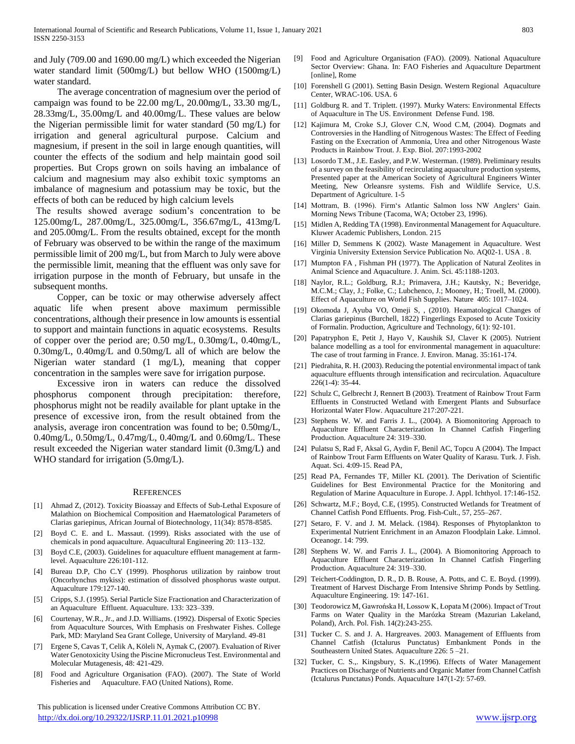and July (709.00 and 1690.00 mg/L) which exceeded the Nigerian water standard limit (500mg/L) but bellow WHO (1500mg/L) water standard.

 The average concentration of magnesium over the period of campaign was found to be 22.00 mg/L, 20.00mg/L, 33.30 mg/L, 28.33mg/L, 35.00mg/L and 40.00mg/L. These values are below the Nigerian permissible limit for water standard (50 mg/L) for irrigation and general agricultural purpose. Calcium and magnesium, if present in the soil in large enough quantities, will counter the effects of the sodium and help maintain good soil properties. But Crops grown on soils having an imbalance of calcium and magnesium may also exhibit toxic symptoms an imbalance of magnesium and potassium may be toxic, but the effects of both can be reduced by high calcium levels

The results showed average sodium's concentration to be 125.00mg/L, 287.00mg/L, 325.00mg/L, 356.67mg/L, 413mg/L and 205.00mg/L. From the results obtained, except for the month of February was observed to be within the range of the maximum permissible limit of 200 mg/L, but from March to July were above the permissible limit, meaning that the effluent was only save for irrigation purpose in the month of February, but unsafe in the subsequent months.

 Copper, can be toxic or may otherwise adversely affect aquatic life when present above maximum permissible concentrations, although their presence in low amounts is essential to support and maintain functions in aquatic ecosystems. Results of copper over the period are; 0.50 mg/L, 0.30mg/L, 0.40mg/L, 0.30mg/L, 0.40mg/L and 0.50mg/L all of which are below the Nigerian water standard (1 mg/L), meaning that copper concentration in the samples were save for irrigation purpose.

 Excessive iron in waters can reduce the dissolved phosphorus component through precipitation: therefore, phosphorus might not be readily available for plant uptake in the presence of excessive iron, from the result obtained from the analysis, average iron concentration was found to be; 0.50mg/L, 0.40mg/L, 0.50mg/L, 0.47mg/L, 0.40mg/L and 0.60mg/L. These result exceeded the Nigerian water standard limit (0.3mg/L) and WHO standard for irrigation (5.0mg/L).

#### **REFERENCES**

- [1] Ahmad Z, (2012). Toxicity Bioassay and Effects of Sub-Lethal Exposure of Malathion on Biochemical Composition and Haematological Parameters of Clarias gariepinus, African Journal of Biotechnology, 11(34): 8578-8585.
- [2] Boyd C. E. and L. Massaut. (1999). Risks associated with the use of chemicals in pond aquaculture. Aquacultural Engineering 20: 113–132.
- [3] Boyd C.E, (2003). Guidelines for aquaculture effluent management at farmlevel. Aquaculture 226:101-112.
- Bureau D.P, Cho C.Y (1999). Phosphorus utilization by rainbow trout (Oncorhynchus mykiss): estimation of dissolved phosphorus waste output. Aquaculture 179:127-140.
- [5] Cripps, S.J. (1995). Serial Particle Size Fractionation and Characterization of an Aquaculture Effluent. Aquaculture. 133: 323–339.
- [6] Courtenay, W.R., Jr., and J.D. Williams. (1992). Dispersal of Exotic Species from Aquaculture Sources, With Emphasis on Freshwater Fishes. College Park, MD: Maryland Sea Grant College, University of Maryland. 49-81
- Ergene S, Cavas T, Celik A, Köleli N, Aymak C, (2007). Evaluation of River Water Genotoxicity Using the Piscine Micronucleus Test. Environmental and Molecular Mutagenesis, 48: 421-429.
- [8] Food and Agriculture Organisation (FAO). (2007). The State of World Fisheries and Aquaculture. FAO (United Nations), Rome.

 This publication is licensed under Creative Commons Attribution CC BY. <http://dx.doi.org/10.29322/IJSRP.11.01.2021.p10998> [www.ijsrp.org](http://ijsrp.org/)

- [9] Food and Agriculture Organisation (FAO). (2009). National Aquaculture Sector Overview: Ghana. In: FAO Fisheries and Aquaculture Department [online], Rome
- [10] Forenshell G (2001). Setting Basin Design. Western Regional Aquaculture Center, WRAC-106. USA. 6
- [11] Goldburg R. and T. Triplett. (1997). Murky Waters: Environmental Effects of Aquaculture in The US. Environment Defense Fund. 198.
- [12] Kajimura M, Croke S.J, Glover C.N, Wood C.M, (2004). Dogmats and Controversies in the Handling of Nitrogenous Wastes: The Effect of Feeding Fasting on the Execration of Ammonia, Urea and other Nitrogenous Waste Products in Rainbow Trout. J. Exp. Biol. 207:1993-2002
- [13] Losordo T.M., J.E. Easley, and P.W. Westerman. (1989). Preliminary results of a survey on the feasibility of recirculating aquaculture production systems, Presented paper at the American Society of Agricultural Engineers Winter Meeting, New Orleansre systems. Fish and Wildlife Service, U.S. Department of Agriculture. 1-5
- [14] Mottram, B. (1996). Firm's Atlantic Salmon loss NW Anglers' Gain. Morning News Tribune (Tacoma, WA; October 23, 1996).
- [15] Midlen A, Redding TA (1998). Environmental Management for Aquaculture. Kluwer Academic Publishers, London. 215
- [16] Miller D, Semmens K (2002). Waste Management in Aquaculture. West Virginia University Extension Service Publication No. AQ02-1. USA . 8.
- [17] Mumpton FA , Fishman PH (1977). The Application of Natural Zeolites in Animal Science and Aquaculture. J. Anim. Sci. 45:1188-1203.
- [18] Naylor, R.L.; Goldburg, R.J.; Primavera, J.H.; Kautsky, N.; Beveridge, M.C.M.; Clay, J.; Folke, C.; Lubchenco, J.; Mooney, H.; Troell, M. (2000). Effect of Aquaculture on World Fish Supplies. Nature 405: 1017–1024.
- [19] Okomoda J, Ayuba VO, Omeji S, , (2010). Heamatological Changes of Clarias gariepinus (Burchell, 1822) Fingerlings Exposed to Acute Toxicity of Formalin. Production, Agriculture and Technology, 6(1): 92-101.
- [20] Papatryphon E, Petit J, Hayo V, Kaushik SJ, Claver K (2005). Nutrient balance modelling as a tool for environmental management in aquaculture: The case of trout farming in France. J. Environ. Manag. 35:161-174.
- [21] Piedrahita, R. H. (2003). Reducing the potential environmental impact of tank aquaculture effluents through intensification and recirculation. Aquaculture 226(1-4): 35-44.
- [22] Schulz C, Gelbrecht J, Rennert B (2003). Treatment of Rainbow Trout Farm Effluents in Constructed Wetland with Emergent Plants and Subsurface Horizontal Water Flow. Aquaculture 217:207-221.
- [23] Stephens W. W. and Farris J. L., (2004). A Biomonitoring Approach to Aquaculture Effluent Characterization In Channel Catfish Fingerling Production. Aquaculture 24: 319–330.
- [24] Pulatsu S, Rad F, Aksal G, Aydin F, Benil AC, Topcu A (2004). The Impact of Rainbow Trout Farm Effluents on Water Quality of Karasu. Turk. J. Fish. Aquat. Sci. 4:09-15. Read PA,
- [25] Read PA, Fernandes TF, Miller KL (2001). The Derivation of Scientific Guidelines for Best Environmental Practice for the Monitoring and Regulation of Marine Aquaculture in Europe. J. Appl. Ichthyol. 17:146-152.
- [26] Schwartz, M.F.; Boyd, C.E. (1995). Constructed Wetlands for Treatment of Channel Catfish Pond Effluents. Prog. Fish-Cult., 57, 255–267.
- [27] Setaro, F. V. and J. M. Melack. (1984). Responses of Phytoplankton to Experimental Nutrient Enrichment in an Amazon Floodplain Lake. Limnol. Oceanogr. 14: 799.
- [28] Stephens W. W. and Farris J. L., (2004). A Biomonitoring Approach to Aquaculture Effluent Characterization In Channel Catfish Fingerling Production. Aquaculture 24: 319–330.
- [29] Teichert-Coddington, D. R., D. B. Rouse, A. Potts, and C. E. Boyd. (1999). Treatment of Harvest Discharge From Intensive Shrimp Ponds by Settling. Aquaculture Engineering. 19: 147-161.
- [30] Teodorowicz M, Gawrońska H, Lossow K, Łopata M (2006). Impact of Trout Farms on Water Quality in the Marózka Stream (Mazurian Lakeland, Poland), Arch. Pol. Fish. 14(2):243-255.
- [31] Tucker C. S. and J. A. Hargreaves. 2003. Management of Effluents from Channel Catfish (Ictalurus Punctatus) Embankment Ponds in the Southeastern United States. Aquaculture 226: 5 –21.
- [32] Tucker, C. S.,. Kingsbury, S. K.,(1996). Effects of Water Management Practices on Discharge of Nutrients and Organic Matter from Channel Catfish (Ictalurus Punctatus) Ponds. Aquaculture 147(1-2): 57-69.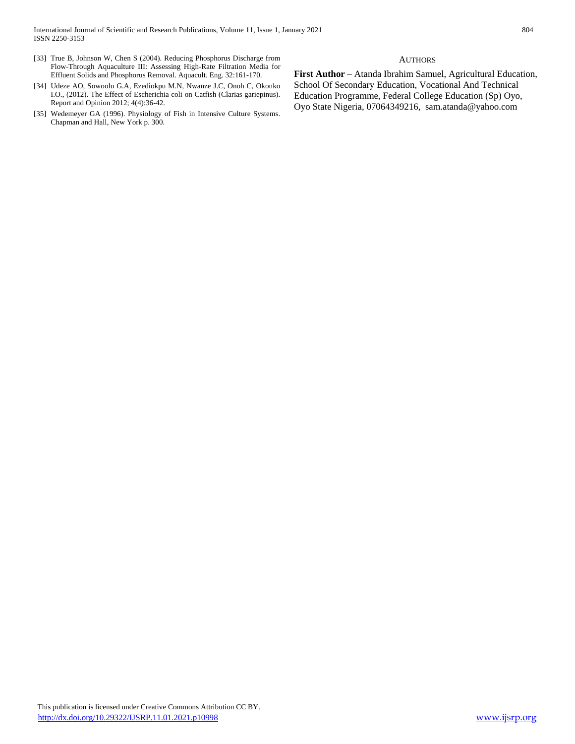- [33] True B, Johnson W, Chen S (2004). Reducing Phosphorus Discharge from Flow-Through Aquaculture III: Assessing High-Rate Filtration Media for Effluent Solids and Phosphorus Removal. Aquacult. Eng. 32:161-170.
- [34] Udeze AO, Sowoolu G.A, Ezediokpu M.N, Nwanze J.C, Onoh C, Okonko I.O., (2012). The Effect of Escherichia coli on Catfish (Clarias gariepinus). Report and Opinion 2012; 4(4):36-42.
- [35] Wedemeyer GA (1996). Physiology of Fish in Intensive Culture Systems. Chapman and Hall, New York p. 300.

#### **AUTHORS**

First Author - Atanda Ibrahim Samuel, Agricultural Education, School Of Secondary Education, Vocational And Technical Education Programme, Federal College Education (Sp) Oyo, Oyo State Nigeria, 07064349216, sam.atanda@yahoo.com